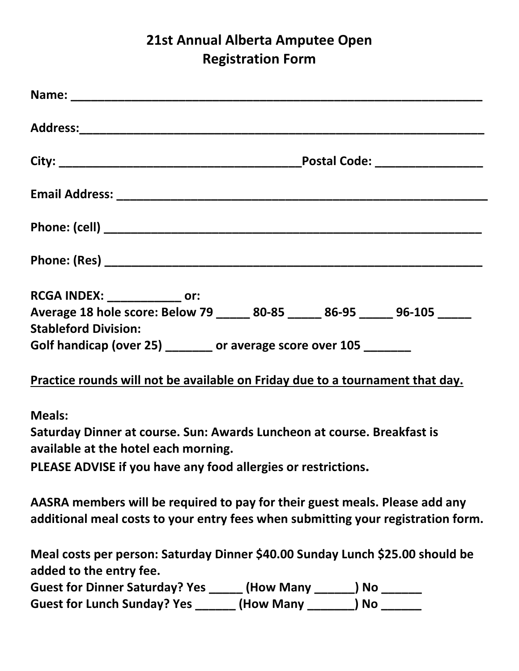## **21st Annual Alberta Amputee Open Registration Form**

| RCGA INDEX: ______________ or:                                                                                                                                  |
|-----------------------------------------------------------------------------------------------------------------------------------------------------------------|
| Average 18 hole score: Below 79 ______ 80-85 ______ 86-95 ______ 96-105 ______                                                                                  |
| <b>Stableford Division:</b>                                                                                                                                     |
| Golf handicap (over 25) ______ or average score over 105 _______                                                                                                |
| Practice rounds will not be available on Friday due to a tournament that day.                                                                                   |
| <b>Meals:</b>                                                                                                                                                   |
| Saturday Dinner at course. Sun: Awards Luncheon at course. Breakfast is<br>available at the hotel each morning.                                                 |
| PLEASE ADVISE if you have any food allergies or restrictions.                                                                                                   |
| AASRA members will be required to pay for their guest meals. Please add any<br>additional meal costs to your entry fees when submitting your registration form. |
| Meal costs per person: Saturday Dinner \$40.00 Sunday Lunch \$25.00 should be<br>added to the entry fee.                                                        |
| Guest for Dinner Saturday? Yes ______ (How Many _______) No ______                                                                                              |
| Guest for Lunch Sunday? Yes _______ (How Many _______) No ______                                                                                                |